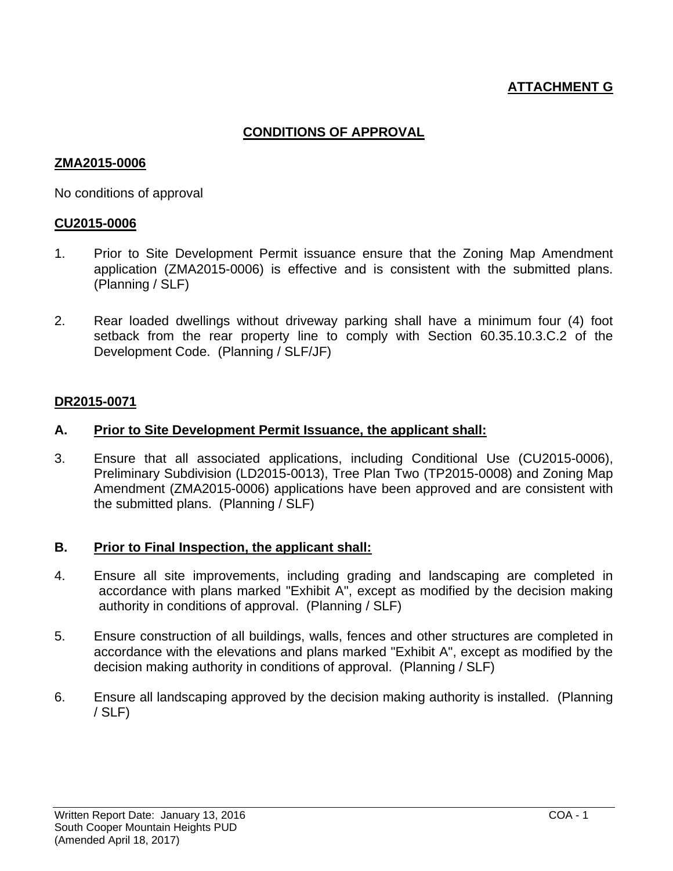# **ATTACHMENT G**

## **CONDITIONS OF APPROVAL**

#### **ZMA2015-0006**

No conditions of approval

#### **CU2015-0006**

- 1. Prior to Site Development Permit issuance ensure that the Zoning Map Amendment application (ZMA2015-0006) is effective and is consistent with the submitted plans. (Planning / SLF)
- 2. Rear loaded dwellings without driveway parking shall have a minimum four (4) foot setback from the rear property line to comply with Section 60.35.10.3.C.2 of the Development Code. (Planning / SLF/JF)

#### **DR2015-0071**

#### **A. Prior to Site Development Permit Issuance, the applicant shall:**

3. Ensure that all associated applications, including Conditional Use (CU2015-0006), Preliminary Subdivision (LD2015-0013), Tree Plan Two (TP2015-0008) and Zoning Map Amendment (ZMA2015-0006) applications have been approved and are consistent with the submitted plans. (Planning / SLF)

#### **B. Prior to Final Inspection, the applicant shall:**

- 4. Ensure all site improvements, including grading and landscaping are completed in accordance with plans marked "Exhibit A", except as modified by the decision making authority in conditions of approval. (Planning / SLF)
- 5. Ensure construction of all buildings, walls, fences and other structures are completed in accordance with the elevations and plans marked "Exhibit A", except as modified by the decision making authority in conditions of approval. (Planning / SLF)
- 6. Ensure all landscaping approved by the decision making authority is installed. (Planning / SLF)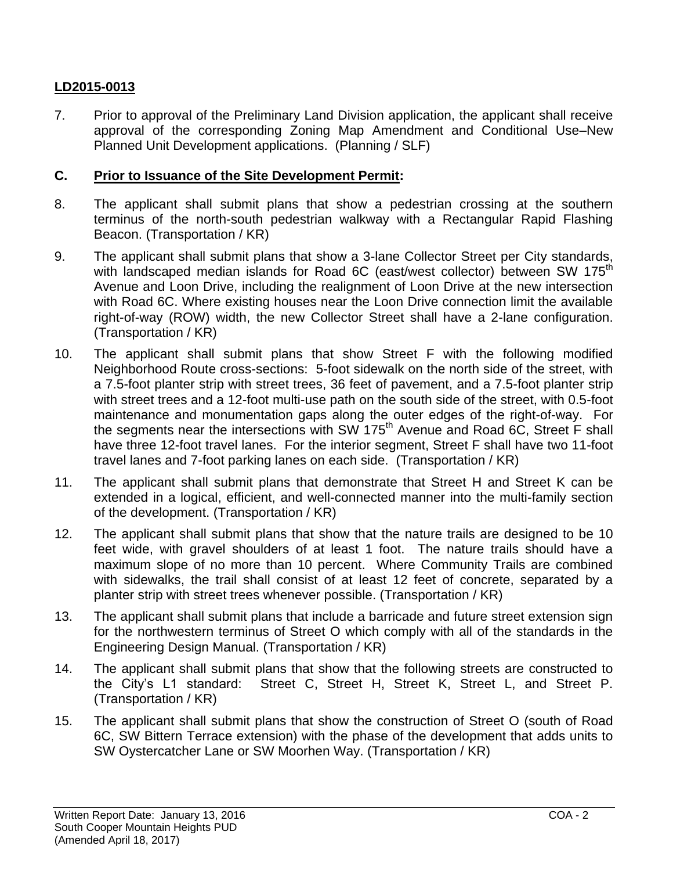# **LD2015-0013**

7. Prior to approval of the Preliminary Land Division application, the applicant shall receive approval of the corresponding Zoning Map Amendment and Conditional Use–New Planned Unit Development applications. (Planning / SLF)

### **C. Prior to Issuance of the Site Development Permit:**

- 8. The applicant shall submit plans that show a pedestrian crossing at the southern terminus of the north-south pedestrian walkway with a Rectangular Rapid Flashing Beacon. (Transportation / KR)
- 9. The applicant shall submit plans that show a 3-lane Collector Street per City standards, with landscaped median islands for Road 6C (east/west collector) between SW 175<sup>th</sup> Avenue and Loon Drive, including the realignment of Loon Drive at the new intersection with Road 6C. Where existing houses near the Loon Drive connection limit the available right-of-way (ROW) width, the new Collector Street shall have a 2-lane configuration. (Transportation / KR)
- 10. The applicant shall submit plans that show Street F with the following modified Neighborhood Route cross-sections: 5-foot sidewalk on the north side of the street, with a 7.5-foot planter strip with street trees, 36 feet of pavement, and a 7.5-foot planter strip with street trees and a 12-foot multi-use path on the south side of the street, with 0.5-foot maintenance and monumentation gaps along the outer edges of the right-of-way. For the segments near the intersections with SW 175<sup>th</sup> Avenue and Road 6C, Street F shall have three 12-foot travel lanes. For the interior segment, Street F shall have two 11-foot travel lanes and 7-foot parking lanes on each side. (Transportation / KR)
- 11. The applicant shall submit plans that demonstrate that Street H and Street K can be extended in a logical, efficient, and well-connected manner into the multi-family section of the development. (Transportation / KR)
- 12. The applicant shall submit plans that show that the nature trails are designed to be 10 feet wide, with gravel shoulders of at least 1 foot. The nature trails should have a maximum slope of no more than 10 percent. Where Community Trails are combined with sidewalks, the trail shall consist of at least 12 feet of concrete, separated by a planter strip with street trees whenever possible. (Transportation / KR)
- 13. The applicant shall submit plans that include a barricade and future street extension sign for the northwestern terminus of Street O which comply with all of the standards in the Engineering Design Manual. (Transportation / KR)
- 14. The applicant shall submit plans that show that the following streets are constructed to the City's L1 standard: Street C, Street H, Street K, Street L, and Street P. (Transportation / KR)
- 15. The applicant shall submit plans that show the construction of Street O (south of Road 6C, SW Bittern Terrace extension) with the phase of the development that adds units to SW Oystercatcher Lane or SW Moorhen Way. (Transportation / KR)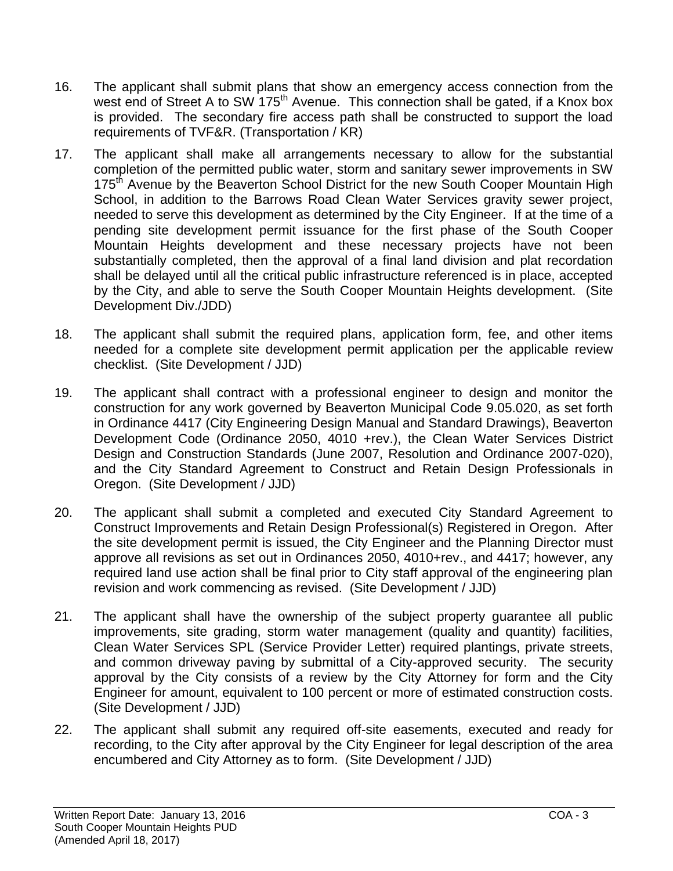- 16. The applicant shall submit plans that show an emergency access connection from the west end of Street A to SW 175<sup>th</sup> Avenue. This connection shall be gated, if a Knox box is provided. The secondary fire access path shall be constructed to support the load requirements of TVF&R. (Transportation / KR)
- 17. The applicant shall make all arrangements necessary to allow for the substantial completion of the permitted public water, storm and sanitary sewer improvements in SW 175<sup>th</sup> Avenue by the Beaverton School District for the new South Cooper Mountain High School, in addition to the Barrows Road Clean Water Services gravity sewer project, needed to serve this development as determined by the City Engineer. If at the time of a pending site development permit issuance for the first phase of the South Cooper Mountain Heights development and these necessary projects have not been substantially completed, then the approval of a final land division and plat recordation shall be delayed until all the critical public infrastructure referenced is in place, accepted by the City, and able to serve the South Cooper Mountain Heights development. (Site Development Div./JDD)
- 18. The applicant shall submit the required plans, application form, fee, and other items needed for a complete site development permit application per the applicable review checklist. (Site Development / JJD)
- 19. The applicant shall contract with a professional engineer to design and monitor the construction for any work governed by Beaverton Municipal Code 9.05.020, as set forth in Ordinance 4417 (City Engineering Design Manual and Standard Drawings), Beaverton Development Code (Ordinance 2050, 4010 +rev.), the Clean Water Services District Design and Construction Standards (June 2007, Resolution and Ordinance 2007-020), and the City Standard Agreement to Construct and Retain Design Professionals in Oregon. (Site Development / JJD)
- 20. The applicant shall submit a completed and executed City Standard Agreement to Construct Improvements and Retain Design Professional(s) Registered in Oregon. After the site development permit is issued, the City Engineer and the Planning Director must approve all revisions as set out in Ordinances 2050, 4010+rev., and 4417; however, any required land use action shall be final prior to City staff approval of the engineering plan revision and work commencing as revised. (Site Development / JJD)
- 21. The applicant shall have the ownership of the subject property guarantee all public improvements, site grading, storm water management (quality and quantity) facilities, Clean Water Services SPL (Service Provider Letter) required plantings, private streets, and common driveway paving by submittal of a City-approved security. The security approval by the City consists of a review by the City Attorney for form and the City Engineer for amount, equivalent to 100 percent or more of estimated construction costs. (Site Development / JJD)
- 22. The applicant shall submit any required off-site easements, executed and ready for recording, to the City after approval by the City Engineer for legal description of the area encumbered and City Attorney as to form. (Site Development / JJD)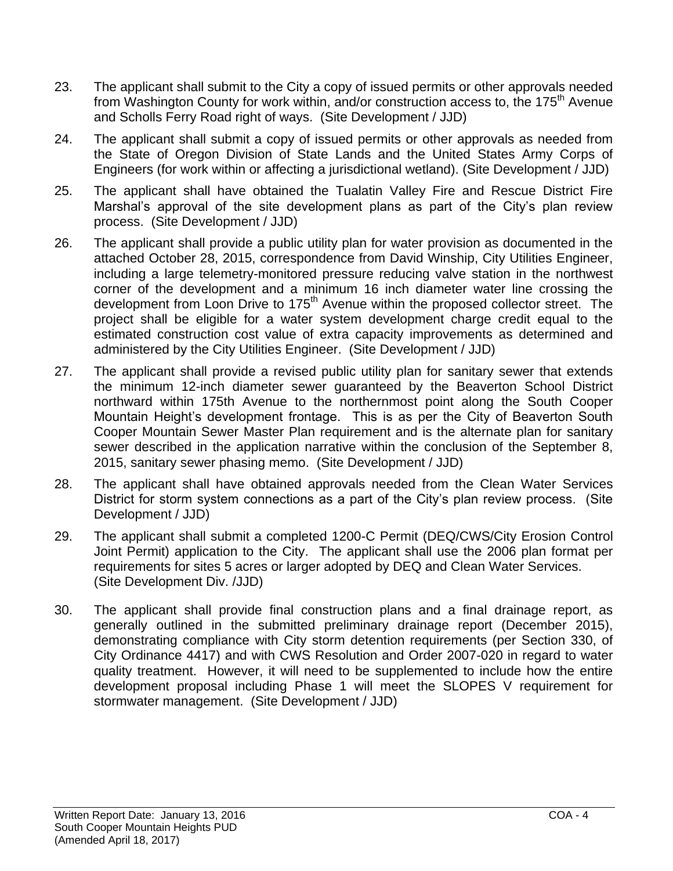- 23. The applicant shall submit to the City a copy of issued permits or other approvals needed from Washington County for work within, and/or construction access to, the 175<sup>th</sup> Avenue and Scholls Ferry Road right of ways. (Site Development / JJD)
- 24. The applicant shall submit a copy of issued permits or other approvals as needed from the State of Oregon Division of State Lands and the United States Army Corps of Engineers (for work within or affecting a jurisdictional wetland). (Site Development / JJD)
- 25. The applicant shall have obtained the Tualatin Valley Fire and Rescue District Fire Marshal's approval of the site development plans as part of the City's plan review process. (Site Development / JJD)
- 26. The applicant shall provide a public utility plan for water provision as documented in the attached October 28, 2015, correspondence from David Winship, City Utilities Engineer, including a large telemetry-monitored pressure reducing valve station in the northwest corner of the development and a minimum 16 inch diameter water line crossing the development from Loon Drive to 175<sup>th</sup> Avenue within the proposed collector street. The project shall be eligible for a water system development charge credit equal to the estimated construction cost value of extra capacity improvements as determined and administered by the City Utilities Engineer. (Site Development / JJD)
- 27. The applicant shall provide a revised public utility plan for sanitary sewer that extends the minimum 12-inch diameter sewer guaranteed by the Beaverton School District northward within 175th Avenue to the northernmost point along the South Cooper Mountain Height's development frontage. This is as per the City of Beaverton South Cooper Mountain Sewer Master Plan requirement and is the alternate plan for sanitary sewer described in the application narrative within the conclusion of the September 8, 2015, sanitary sewer phasing memo. (Site Development / JJD)
- 28. The applicant shall have obtained approvals needed from the Clean Water Services District for storm system connections as a part of the City's plan review process. (Site Development / JJD)
- 29. The applicant shall submit a completed 1200-C Permit (DEQ/CWS/City Erosion Control Joint Permit) application to the City. The applicant shall use the 2006 plan format per requirements for sites 5 acres or larger adopted by DEQ and Clean Water Services. (Site Development Div. /JJD)
- 30. The applicant shall provide final construction plans and a final drainage report, as generally outlined in the submitted preliminary drainage report (December 2015), demonstrating compliance with City storm detention requirements (per Section 330, of City Ordinance 4417) and with CWS Resolution and Order 2007-020 in regard to water quality treatment. However, it will need to be supplemented to include how the entire development proposal including Phase 1 will meet the SLOPES V requirement for stormwater management. (Site Development / JJD)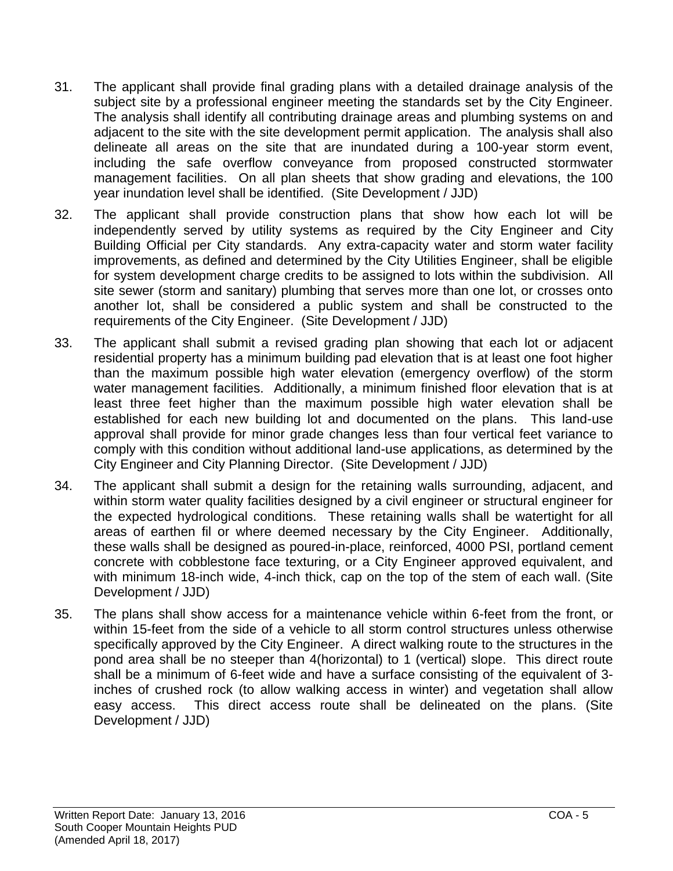- 31. The applicant shall provide final grading plans with a detailed drainage analysis of the subject site by a professional engineer meeting the standards set by the City Engineer. The analysis shall identify all contributing drainage areas and plumbing systems on and adjacent to the site with the site development permit application. The analysis shall also delineate all areas on the site that are inundated during a 100-year storm event, including the safe overflow conveyance from proposed constructed stormwater management facilities. On all plan sheets that show grading and elevations, the 100 year inundation level shall be identified. (Site Development / JJD)
- 32. The applicant shall provide construction plans that show how each lot will be independently served by utility systems as required by the City Engineer and City Building Official per City standards. Any extra-capacity water and storm water facility improvements, as defined and determined by the City Utilities Engineer, shall be eligible for system development charge credits to be assigned to lots within the subdivision. All site sewer (storm and sanitary) plumbing that serves more than one lot, or crosses onto another lot, shall be considered a public system and shall be constructed to the requirements of the City Engineer. (Site Development / JJD)
- 33. The applicant shall submit a revised grading plan showing that each lot or adjacent residential property has a minimum building pad elevation that is at least one foot higher than the maximum possible high water elevation (emergency overflow) of the storm water management facilities. Additionally, a minimum finished floor elevation that is at least three feet higher than the maximum possible high water elevation shall be established for each new building lot and documented on the plans. This land-use approval shall provide for minor grade changes less than four vertical feet variance to comply with this condition without additional land-use applications, as determined by the City Engineer and City Planning Director. (Site Development / JJD)
- 34. The applicant shall submit a design for the retaining walls surrounding, adjacent, and within storm water quality facilities designed by a civil engineer or structural engineer for the expected hydrological conditions. These retaining walls shall be watertight for all areas of earthen fil or where deemed necessary by the City Engineer. Additionally, these walls shall be designed as poured-in-place, reinforced, 4000 PSI, portland cement concrete with cobblestone face texturing, or a City Engineer approved equivalent, and with minimum 18-inch wide, 4-inch thick, cap on the top of the stem of each wall. (Site Development / JJD)
- 35. The plans shall show access for a maintenance vehicle within 6-feet from the front, or within 15-feet from the side of a vehicle to all storm control structures unless otherwise specifically approved by the City Engineer. A direct walking route to the structures in the pond area shall be no steeper than 4(horizontal) to 1 (vertical) slope. This direct route shall be a minimum of 6-feet wide and have a surface consisting of the equivalent of 3 inches of crushed rock (to allow walking access in winter) and vegetation shall allow easy access. This direct access route shall be delineated on the plans. (Site Development / JJD)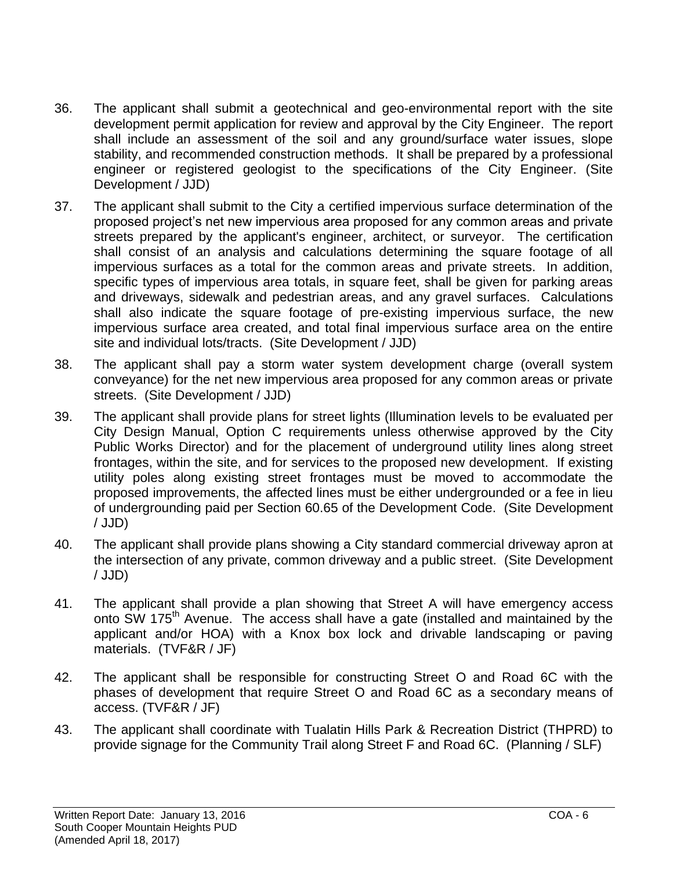- 36. The applicant shall submit a geotechnical and geo-environmental report with the site development permit application for review and approval by the City Engineer. The report shall include an assessment of the soil and any ground/surface water issues, slope stability, and recommended construction methods. It shall be prepared by a professional engineer or registered geologist to the specifications of the City Engineer. (Site Development / JJD)
- 37. The applicant shall submit to the City a certified impervious surface determination of the proposed project's net new impervious area proposed for any common areas and private streets prepared by the applicant's engineer, architect, or surveyor. The certification shall consist of an analysis and calculations determining the square footage of all impervious surfaces as a total for the common areas and private streets. In addition, specific types of impervious area totals, in square feet, shall be given for parking areas and driveways, sidewalk and pedestrian areas, and any gravel surfaces. Calculations shall also indicate the square footage of pre-existing impervious surface, the new impervious surface area created, and total final impervious surface area on the entire site and individual lots/tracts. (Site Development / JJD)
- 38. The applicant shall pay a storm water system development charge (overall system conveyance) for the net new impervious area proposed for any common areas or private streets. (Site Development / JJD)
- 39. The applicant shall provide plans for street lights (Illumination levels to be evaluated per City Design Manual, Option C requirements unless otherwise approved by the City Public Works Director) and for the placement of underground utility lines along street frontages, within the site, and for services to the proposed new development. If existing utility poles along existing street frontages must be moved to accommodate the proposed improvements, the affected lines must be either undergrounded or a fee in lieu of undergrounding paid per Section 60.65 of the Development Code. (Site Development / JJD)
- 40. The applicant shall provide plans showing a City standard commercial driveway apron at the intersection of any private, common driveway and a public street. (Site Development / JJD)
- 41. The applicant shall provide a plan showing that Street A will have emergency access onto SW 175<sup>th</sup> Avenue. The access shall have a gate (installed and maintained by the applicant and/or HOA) with a Knox box lock and drivable landscaping or paving materials. (TVF&R / JF)
- 42. The applicant shall be responsible for constructing Street O and Road 6C with the phases of development that require Street O and Road 6C as a secondary means of access. (TVF&R / JF)
- 43. The applicant shall coordinate with Tualatin Hills Park & Recreation District (THPRD) to provide signage for the Community Trail along Street F and Road 6C. (Planning / SLF)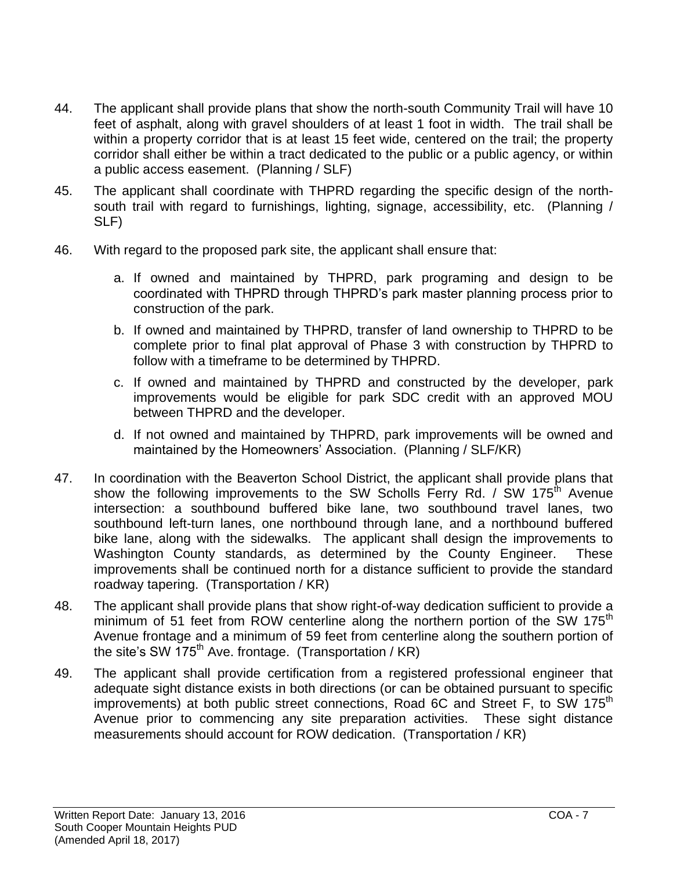- 44. The applicant shall provide plans that show the north-south Community Trail will have 10 feet of asphalt, along with gravel shoulders of at least 1 foot in width. The trail shall be within a property corridor that is at least 15 feet wide, centered on the trail; the property corridor shall either be within a tract dedicated to the public or a public agency, or within a public access easement. (Planning / SLF)
- 45. The applicant shall coordinate with THPRD regarding the specific design of the northsouth trail with regard to furnishings, lighting, signage, accessibility, etc. (Planning / SLF)
- 46. With regard to the proposed park site, the applicant shall ensure that:
	- a. If owned and maintained by THPRD, park programing and design to be coordinated with THPRD through THPRD's park master planning process prior to construction of the park.
	- b. If owned and maintained by THPRD, transfer of land ownership to THPRD to be complete prior to final plat approval of Phase 3 with construction by THPRD to follow with a timeframe to be determined by THPRD.
	- c. If owned and maintained by THPRD and constructed by the developer, park improvements would be eligible for park SDC credit with an approved MOU between THPRD and the developer.
	- d. If not owned and maintained by THPRD, park improvements will be owned and maintained by the Homeowners' Association. (Planning / SLF/KR)
- 47. In coordination with the Beaverton School District, the applicant shall provide plans that show the following improvements to the SW Scholls Ferry Rd. / SW 175<sup>th</sup> Avenue intersection: a southbound buffered bike lane, two southbound travel lanes, two southbound left-turn lanes, one northbound through lane, and a northbound buffered bike lane, along with the sidewalks. The applicant shall design the improvements to Washington County standards, as determined by the County Engineer. These improvements shall be continued north for a distance sufficient to provide the standard roadway tapering. (Transportation / KR)
- 48. The applicant shall provide plans that show right-of-way dedication sufficient to provide a minimum of 51 feet from ROW centerline along the northern portion of the SW 175<sup>th</sup> Avenue frontage and a minimum of 59 feet from centerline along the southern portion of the site's SW  $175<sup>th</sup>$  Ave. frontage. (Transportation / KR)
- 49. The applicant shall provide certification from a registered professional engineer that adequate sight distance exists in both directions (or can be obtained pursuant to specific improvements) at both public street connections, Road 6C and Street F, to SW 175<sup>th</sup> Avenue prior to commencing any site preparation activities. These sight distance measurements should account for ROW dedication. (Transportation / KR)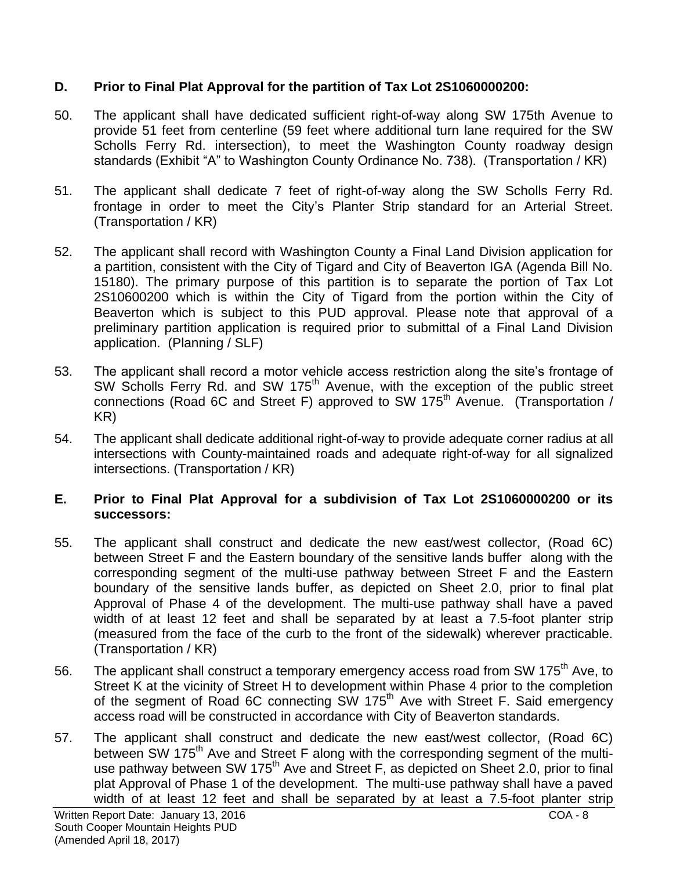## **D. Prior to Final Plat Approval for the partition of Tax Lot 2S1060000200:**

- 50. The applicant shall have dedicated sufficient right-of-way along SW 175th Avenue to provide 51 feet from centerline (59 feet where additional turn lane required for the SW Scholls Ferry Rd. intersection), to meet the Washington County roadway design standards (Exhibit "A" to Washington County Ordinance No. 738). (Transportation / KR)
- 51. The applicant shall dedicate 7 feet of right-of-way along the SW Scholls Ferry Rd. frontage in order to meet the City's Planter Strip standard for an Arterial Street. (Transportation / KR)
- 52. The applicant shall record with Washington County a Final Land Division application for a partition, consistent with the City of Tigard and City of Beaverton IGA (Agenda Bill No. 15180). The primary purpose of this partition is to separate the portion of Tax Lot 2S10600200 which is within the City of Tigard from the portion within the City of Beaverton which is subject to this PUD approval. Please note that approval of a preliminary partition application is required prior to submittal of a Final Land Division application. (Planning / SLF)
- 53. The applicant shall record a motor vehicle access restriction along the site's frontage of SW Scholls Ferry Rd. and SW 175<sup>th</sup> Avenue, with the exception of the public street connections (Road 6C and Street F) approved to SW 175<sup>th</sup> Avenue. (Transportation / KR)
- 54. The applicant shall dedicate additional right-of-way to provide adequate corner radius at all intersections with County-maintained roads and adequate right-of-way for all signalized intersections. (Transportation / KR)

### **E. Prior to Final Plat Approval for a subdivision of Tax Lot 2S1060000200 or its successors:**

- 55. The applicant shall construct and dedicate the new east/west collector, (Road 6C) between Street F and the Eastern boundary of the sensitive lands buffer along with the corresponding segment of the multi-use pathway between Street F and the Eastern boundary of the sensitive lands buffer, as depicted on Sheet 2.0, prior to final plat Approval of Phase 4 of the development. The multi-use pathway shall have a paved width of at least 12 feet and shall be separated by at least a 7.5-foot planter strip (measured from the face of the curb to the front of the sidewalk) wherever practicable. (Transportation / KR)
- 56. The applicant shall construct a temporary emergency access road from SW 175<sup>th</sup> Ave, to Street K at the vicinity of Street H to development within Phase 4 prior to the completion of the segment of Road 6C connecting SW 175<sup>th</sup> Ave with Street F. Said emergency access road will be constructed in accordance with City of Beaverton standards.
- 57. The applicant shall construct and dedicate the new east/west collector, (Road 6C) between SW 175<sup>th</sup> Ave and Street F along with the corresponding segment of the multiuse pathway between SW 175<sup>th</sup> Ave and Street F, as depicted on Sheet 2.0, prior to final plat Approval of Phase 1 of the development. The multi-use pathway shall have a paved width of at least 12 feet and shall be separated by at least a 7.5-foot planter strip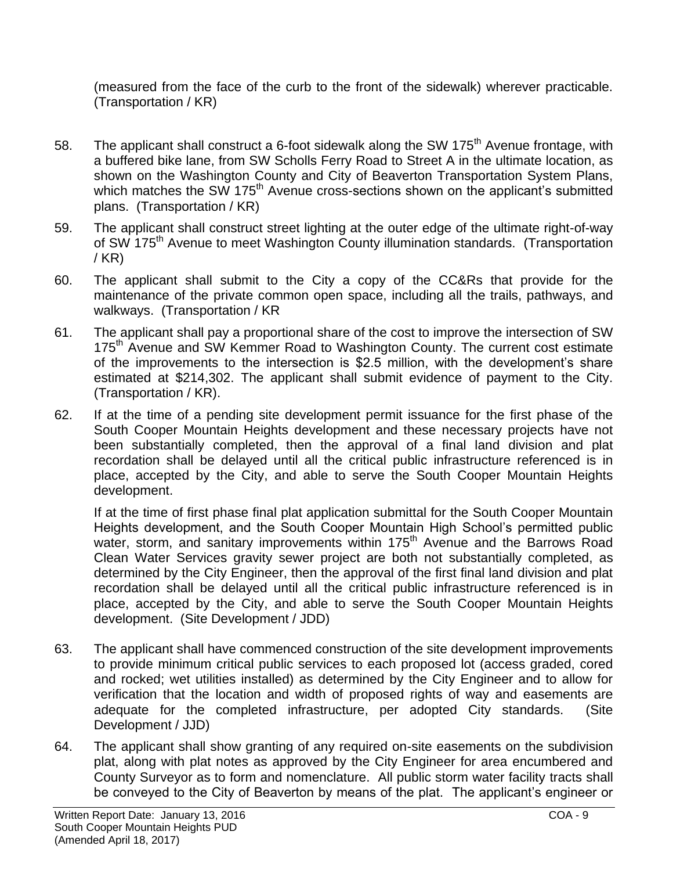(measured from the face of the curb to the front of the sidewalk) wherever practicable. (Transportation / KR)

- 58. The applicant shall construct a 6-foot sidewalk along the SW 175<sup>th</sup> Avenue frontage, with a buffered bike lane, from SW Scholls Ferry Road to Street A in the ultimate location, as shown on the Washington County and City of Beaverton Transportation System Plans, which matches the SW 175<sup>th</sup> Avenue cross-sections shown on the applicant's submitted plans. (Transportation / KR)
- 59. The applicant shall construct street lighting at the outer edge of the ultimate right-of-way of SW 175<sup>th</sup> Avenue to meet Washington County illumination standards. (Transportation / KR)
- 60. The applicant shall submit to the City a copy of the CC&Rs that provide for the maintenance of the private common open space, including all the trails, pathways, and walkways. (Transportation / KR
- 61. The applicant shall pay a proportional share of the cost to improve the intersection of SW 175<sup>th</sup> Avenue and SW Kemmer Road to Washington County. The current cost estimate of the improvements to the intersection is \$2.5 million, with the development's share estimated at \$214,302. The applicant shall submit evidence of payment to the City. (Transportation / KR).
- 62. If at the time of a pending site development permit issuance for the first phase of the South Cooper Mountain Heights development and these necessary projects have not been substantially completed, then the approval of a final land division and plat recordation shall be delayed until all the critical public infrastructure referenced is in place, accepted by the City, and able to serve the South Cooper Mountain Heights development.

If at the time of first phase final plat application submittal for the South Cooper Mountain Heights development, and the South Cooper Mountain High School's permitted public water, storm, and sanitary improvements within 175<sup>th</sup> Avenue and the Barrows Road Clean Water Services gravity sewer project are both not substantially completed, as determined by the City Engineer, then the approval of the first final land division and plat recordation shall be delayed until all the critical public infrastructure referenced is in place, accepted by the City, and able to serve the South Cooper Mountain Heights development. (Site Development / JDD)

- 63. The applicant shall have commenced construction of the site development improvements to provide minimum critical public services to each proposed lot (access graded, cored and rocked; wet utilities installed) as determined by the City Engineer and to allow for verification that the location and width of proposed rights of way and easements are adequate for the completed infrastructure, per adopted City standards. (Site Development / JJD)
- 64. The applicant shall show granting of any required on-site easements on the subdivision plat, along with plat notes as approved by the City Engineer for area encumbered and County Surveyor as to form and nomenclature. All public storm water facility tracts shall be conveyed to the City of Beaverton by means of the plat. The applicant's engineer or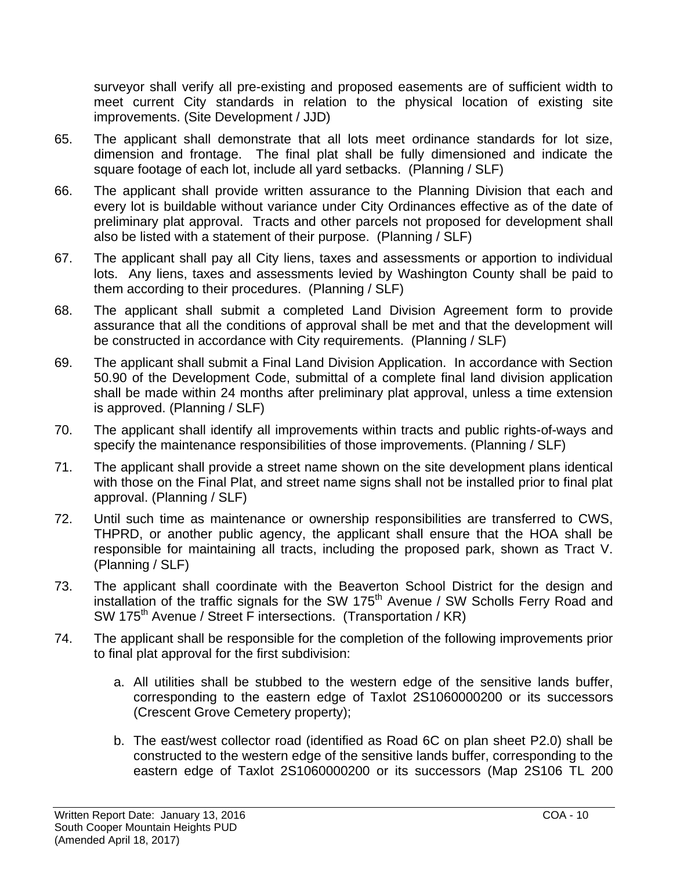surveyor shall verify all pre-existing and proposed easements are of sufficient width to meet current City standards in relation to the physical location of existing site improvements. (Site Development / JJD)

- 65. The applicant shall demonstrate that all lots meet ordinance standards for lot size, dimension and frontage. The final plat shall be fully dimensioned and indicate the square footage of each lot, include all yard setbacks. (Planning / SLF)
- 66. The applicant shall provide written assurance to the Planning Division that each and every lot is buildable without variance under City Ordinances effective as of the date of preliminary plat approval. Tracts and other parcels not proposed for development shall also be listed with a statement of their purpose. (Planning / SLF)
- 67. The applicant shall pay all City liens, taxes and assessments or apportion to individual lots. Any liens, taxes and assessments levied by Washington County shall be paid to them according to their procedures. (Planning / SLF)
- 68. The applicant shall submit a completed Land Division Agreement form to provide assurance that all the conditions of approval shall be met and that the development will be constructed in accordance with City requirements. (Planning / SLF)
- 69. The applicant shall submit a Final Land Division Application. In accordance with Section 50.90 of the Development Code, submittal of a complete final land division application shall be made within 24 months after preliminary plat approval, unless a time extension is approved. (Planning / SLF)
- 70. The applicant shall identify all improvements within tracts and public rights-of-ways and specify the maintenance responsibilities of those improvements. (Planning / SLF)
- 71. The applicant shall provide a street name shown on the site development plans identical with those on the Final Plat, and street name signs shall not be installed prior to final plat approval. (Planning / SLF)
- 72. Until such time as maintenance or ownership responsibilities are transferred to CWS, THPRD, or another public agency, the applicant shall ensure that the HOA shall be responsible for maintaining all tracts, including the proposed park, shown as Tract V. (Planning / SLF)
- 73. The applicant shall coordinate with the Beaverton School District for the design and installation of the traffic signals for the SW  $175<sup>th</sup>$  Avenue / SW Scholls Ferry Road and SW 175<sup>th</sup> Avenue / Street F intersections. (Transportation / KR)
- 74. The applicant shall be responsible for the completion of the following improvements prior to final plat approval for the first subdivision:
	- a. All utilities shall be stubbed to the western edge of the sensitive lands buffer, corresponding to the eastern edge of Taxlot 2S1060000200 or its successors (Crescent Grove Cemetery property);
	- b. The east/west collector road (identified as Road 6C on plan sheet P2.0) shall be constructed to the western edge of the sensitive lands buffer, corresponding to the eastern edge of Taxlot 2S1060000200 or its successors (Map 2S106 TL 200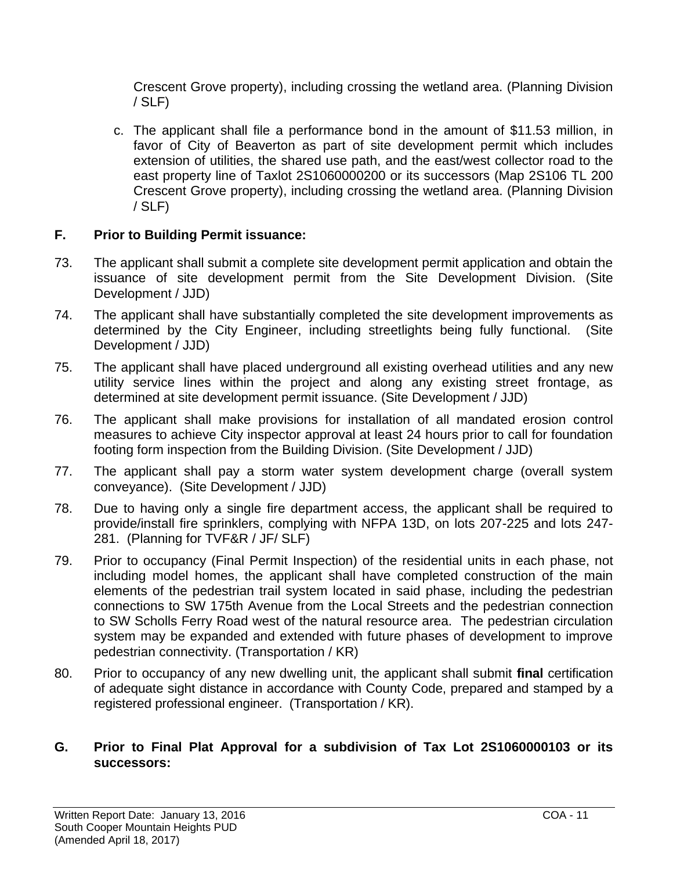Crescent Grove property), including crossing the wetland area. (Planning Division / SLF)

c. The applicant shall file a performance bond in the amount of \$11.53 million, in favor of City of Beaverton as part of site development permit which includes extension of utilities, the shared use path, and the east/west collector road to the east property line of Taxlot 2S1060000200 or its successors (Map 2S106 TL 200 Crescent Grove property), including crossing the wetland area. (Planning Division / SLF)

## **F. Prior to Building Permit issuance:**

- 73. The applicant shall submit a complete site development permit application and obtain the issuance of site development permit from the Site Development Division. (Site Development / JJD)
- 74. The applicant shall have substantially completed the site development improvements as determined by the City Engineer, including streetlights being fully functional. (Site Development / JJD)
- 75. The applicant shall have placed underground all existing overhead utilities and any new utility service lines within the project and along any existing street frontage, as determined at site development permit issuance. (Site Development / JJD)
- 76. The applicant shall make provisions for installation of all mandated erosion control measures to achieve City inspector approval at least 24 hours prior to call for foundation footing form inspection from the Building Division. (Site Development / JJD)
- 77. The applicant shall pay a storm water system development charge (overall system conveyance). (Site Development / JJD)
- 78. Due to having only a single fire department access, the applicant shall be required to provide/install fire sprinklers, complying with NFPA 13D, on lots 207-225 and lots 247- 281. (Planning for TVF&R / JF/ SLF)
- 79. Prior to occupancy (Final Permit Inspection) of the residential units in each phase, not including model homes, the applicant shall have completed construction of the main elements of the pedestrian trail system located in said phase, including the pedestrian connections to SW 175th Avenue from the Local Streets and the pedestrian connection to SW Scholls Ferry Road west of the natural resource area. The pedestrian circulation system may be expanded and extended with future phases of development to improve pedestrian connectivity. (Transportation / KR)
- 80. Prior to occupancy of any new dwelling unit, the applicant shall submit **final** certification of adequate sight distance in accordance with County Code, prepared and stamped by a registered professional engineer. (Transportation / KR).

### **G. Prior to Final Plat Approval for a subdivision of Tax Lot 2S1060000103 or its successors:**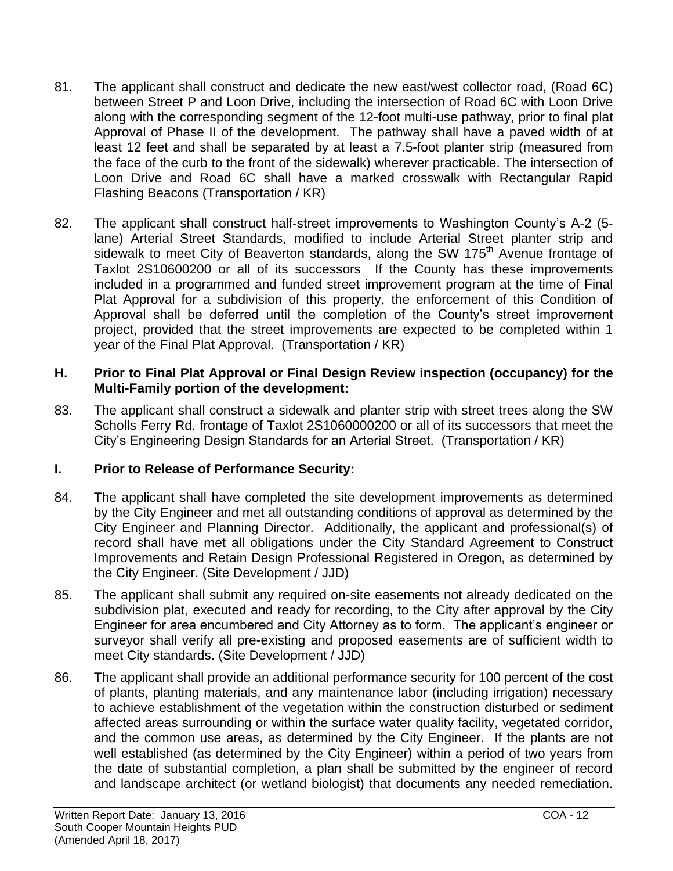- 81. The applicant shall construct and dedicate the new east/west collector road, (Road 6C) between Street P and Loon Drive, including the intersection of Road 6C with Loon Drive along with the corresponding segment of the 12-foot multi-use pathway, prior to final plat Approval of Phase II of the development. The pathway shall have a paved width of at least 12 feet and shall be separated by at least a 7.5-foot planter strip (measured from the face of the curb to the front of the sidewalk) wherever practicable. The intersection of Loon Drive and Road 6C shall have a marked crosswalk with Rectangular Rapid Flashing Beacons (Transportation / KR)
- 82. The applicant shall construct half-street improvements to Washington County's A-2 (5 lane) Arterial Street Standards, modified to include Arterial Street planter strip and sidewalk to meet City of Beaverton standards, along the SW 175<sup>th</sup> Avenue frontage of Taxlot 2S10600200 or all of its successors If the County has these improvements included in a programmed and funded street improvement program at the time of Final Plat Approval for a subdivision of this property, the enforcement of this Condition of Approval shall be deferred until the completion of the County's street improvement project, provided that the street improvements are expected to be completed within 1 year of the Final Plat Approval. (Transportation / KR)

### **H. Prior to Final Plat Approval or Final Design Review inspection (occupancy) for the Multi-Family portion of the development:**

83. The applicant shall construct a sidewalk and planter strip with street trees along the SW Scholls Ferry Rd. frontage of Taxlot 2S1060000200 or all of its successors that meet the City's Engineering Design Standards for an Arterial Street. (Transportation / KR)

### **I. Prior to Release of Performance Security:**

- 84. The applicant shall have completed the site development improvements as determined by the City Engineer and met all outstanding conditions of approval as determined by the City Engineer and Planning Director. Additionally, the applicant and professional(s) of record shall have met all obligations under the City Standard Agreement to Construct Improvements and Retain Design Professional Registered in Oregon, as determined by the City Engineer. (Site Development / JJD)
- 85. The applicant shall submit any required on-site easements not already dedicated on the subdivision plat, executed and ready for recording, to the City after approval by the City Engineer for area encumbered and City Attorney as to form. The applicant's engineer or surveyor shall verify all pre-existing and proposed easements are of sufficient width to meet City standards. (Site Development / JJD)
- 86. The applicant shall provide an additional performance security for 100 percent of the cost of plants, planting materials, and any maintenance labor (including irrigation) necessary to achieve establishment of the vegetation within the construction disturbed or sediment affected areas surrounding or within the surface water quality facility, vegetated corridor, and the common use areas, as determined by the City Engineer. If the plants are not well established (as determined by the City Engineer) within a period of two years from the date of substantial completion, a plan shall be submitted by the engineer of record and landscape architect (or wetland biologist) that documents any needed remediation.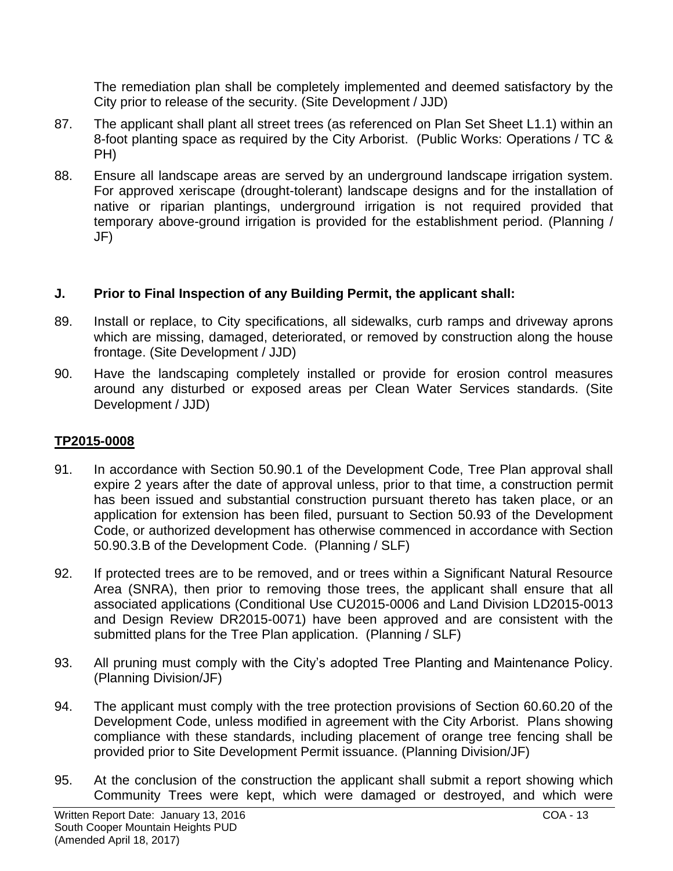The remediation plan shall be completely implemented and deemed satisfactory by the City prior to release of the security. (Site Development / JJD)

- 87. The applicant shall plant all street trees (as referenced on Plan Set Sheet L1.1) within an 8-foot planting space as required by the City Arborist. (Public Works: Operations / TC & PH)
- 88. Ensure all landscape areas are served by an underground landscape irrigation system. For approved xeriscape (drought-tolerant) landscape designs and for the installation of native or riparian plantings, underground irrigation is not required provided that temporary above-ground irrigation is provided for the establishment period. (Planning / JF)

### **J. Prior to Final Inspection of any Building Permit, the applicant shall:**

- 89. Install or replace, to City specifications, all sidewalks, curb ramps and driveway aprons which are missing, damaged, deteriorated, or removed by construction along the house frontage. (Site Development / JJD)
- 90. Have the landscaping completely installed or provide for erosion control measures around any disturbed or exposed areas per Clean Water Services standards. (Site Development / JJD)

### **TP2015-0008**

- 91. In accordance with Section 50.90.1 of the Development Code, Tree Plan approval shall expire 2 years after the date of approval unless, prior to that time, a construction permit has been issued and substantial construction pursuant thereto has taken place, or an application for extension has been filed, pursuant to Section 50.93 of the Development Code, or authorized development has otherwise commenced in accordance with Section 50.90.3.B of the Development Code. (Planning / SLF)
- 92. If protected trees are to be removed, and or trees within a Significant Natural Resource Area (SNRA), then prior to removing those trees, the applicant shall ensure that all associated applications (Conditional Use CU2015-0006 and Land Division LD2015-0013 and Design Review DR2015-0071) have been approved and are consistent with the submitted plans for the Tree Plan application. (Planning / SLF)
- 93. All pruning must comply with the City's adopted Tree Planting and Maintenance Policy. (Planning Division/JF)
- 94. The applicant must comply with the tree protection provisions of Section 60.60.20 of the Development Code, unless modified in agreement with the City Arborist. Plans showing compliance with these standards, including placement of orange tree fencing shall be provided prior to Site Development Permit issuance. (Planning Division/JF)
- 95. At the conclusion of the construction the applicant shall submit a report showing which Community Trees were kept, which were damaged or destroyed, and which were